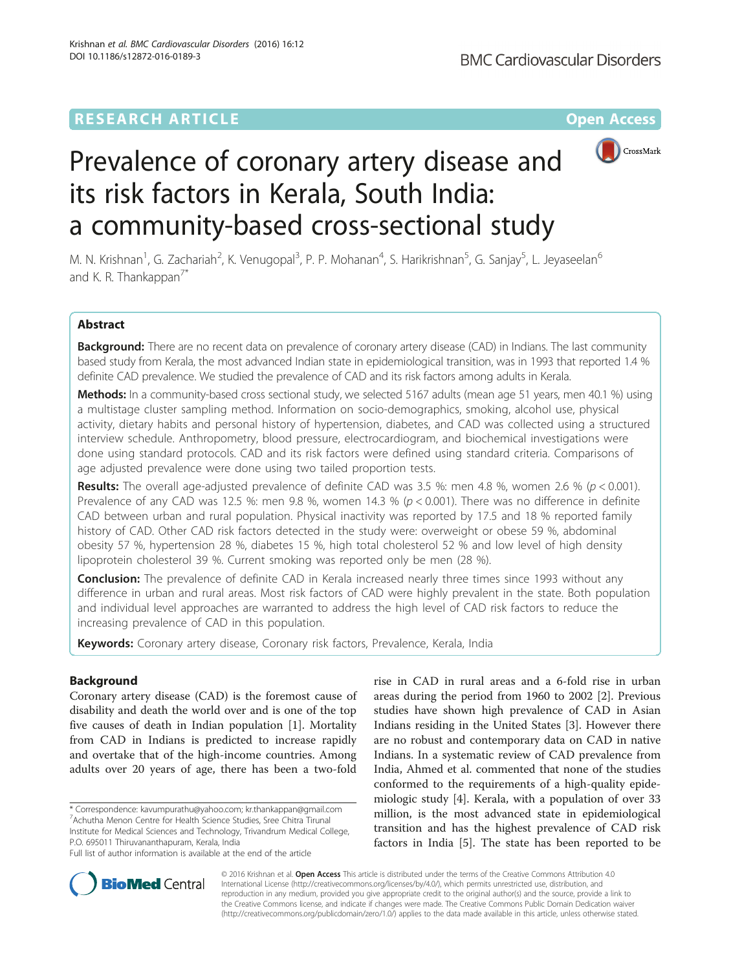## **RESEARCH ARTICLE External Structure Community Community Community Community Community Community Community Community**



# Prevalence of coronary artery disease and its risk factors in Kerala, South India: a community-based cross-sectional study

M. N. Krishnan<sup>1</sup>, G. Zachariah<sup>2</sup>, K. Venugopal<sup>3</sup>, P. P. Mohanan<sup>4</sup>, S. Harikrishnan<sup>5</sup>, G. Sanjay<sup>5</sup>, L. Jeyaseelan<sup>6</sup> and K. R. Thankappan $\frac{7}{10}$ 

## Abstract

Background: There are no recent data on prevalence of coronary artery disease (CAD) in Indians. The last community based study from Kerala, the most advanced Indian state in epidemiological transition, was in 1993 that reported 1.4 % definite CAD prevalence. We studied the prevalence of CAD and its risk factors among adults in Kerala.

Methods: In a community-based cross sectional study, we selected 5167 adults (mean age 51 years, men 40.1 %) using a multistage cluster sampling method. Information on socio-demographics, smoking, alcohol use, physical activity, dietary habits and personal history of hypertension, diabetes, and CAD was collected using a structured interview schedule. Anthropometry, blood pressure, electrocardiogram, and biochemical investigations were done using standard protocols. CAD and its risk factors were defined using standard criteria. Comparisons of age adjusted prevalence were done using two tailed proportion tests.

Results: The overall age-adjusted prevalence of definite CAD was 3.5 %: men 4.8 %, women 2.6 % ( $p < 0.001$ ). Prevalence of any CAD was 12.5 %: men 9.8 %, women 14.3 % ( $p < 0.001$ ). There was no difference in definite CAD between urban and rural population. Physical inactivity was reported by 17.5 and 18 % reported family history of CAD. Other CAD risk factors detected in the study were: overweight or obese 59 %, abdominal obesity 57 %, hypertension 28 %, diabetes 15 %, high total cholesterol 52 % and low level of high density lipoprotein cholesterol 39 %. Current smoking was reported only be men (28 %).

**Conclusion:** The prevalence of definite CAD in Kerala increased nearly three times since 1993 without any difference in urban and rural areas. Most risk factors of CAD were highly prevalent in the state. Both population and individual level approaches are warranted to address the high level of CAD risk factors to reduce the increasing prevalence of CAD in this population.

Keywords: Coronary artery disease, Coronary risk factors, Prevalence, Kerala, India

## Background

Coronary artery disease (CAD) is the foremost cause of disability and death the world over and is one of the top five causes of death in Indian population [\[1\]](#page-10-0). Mortality from CAD in Indians is predicted to increase rapidly and overtake that of the high-income countries. Among adults over 20 years of age, there has been a two-fold

\* Correspondence: [kavumpurathu@yahoo.com;](mailto:kavumpurathu@yahoo.com) [kr.thankappan@gmail.com](mailto:kr.thankappan@gmail.com) 7 Achutha Menon Centre for Health Science Studies, Sree Chitra Tirunal Institute for Medical Sciences and Technology, Trivandrum Medical College, P.O. 695011 Thiruvananthapuram, Kerala, India

Full list of author information is available at the end of the article

rise in CAD in rural areas and a 6-fold rise in urban areas during the period from 1960 to 2002 [[2\]](#page-10-0). Previous studies have shown high prevalence of CAD in Asian Indians residing in the United States [[3\]](#page-10-0). However there are no robust and contemporary data on CAD in native Indians. In a systematic review of CAD prevalence from India, Ahmed et al. commented that none of the studies conformed to the requirements of a high-quality epidemiologic study [\[4](#page-10-0)]. Kerala, with a population of over 33 million, is the most advanced state in epidemiological transition and has the highest prevalence of CAD risk factors in India [\[5](#page-10-0)]. The state has been reported to be



© 2016 Krishnan et al. Open Access This article is distributed under the terms of the Creative Commons Attribution 4.0 International License [\(http://creativecommons.org/licenses/by/4.0/](http://creativecommons.org/licenses/by/4.0/)), which permits unrestricted use, distribution, and reproduction in any medium, provided you give appropriate credit to the original author(s) and the source, provide a link to the Creative Commons license, and indicate if changes were made. The Creative Commons Public Domain Dedication waiver [\(http://creativecommons.org/publicdomain/zero/1.0/](http://creativecommons.org/publicdomain/zero/1.0/)) applies to the data made available in this article, unless otherwise stated.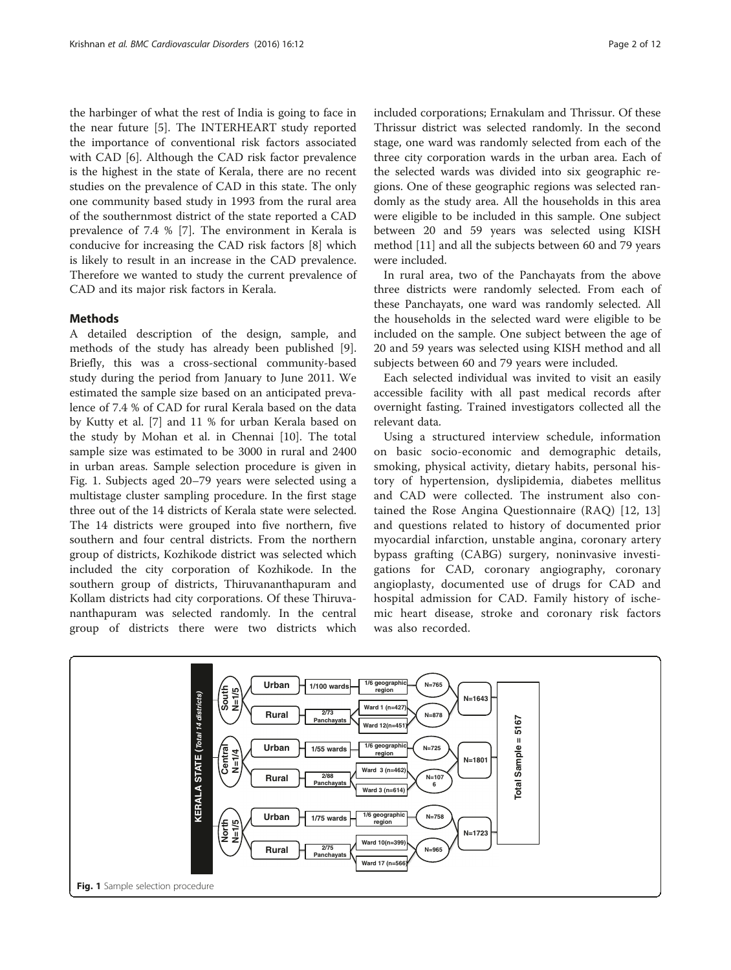the harbinger of what the rest of India is going to face in the near future [[5\]](#page-10-0). The INTERHEART study reported the importance of conventional risk factors associated with CAD [[6](#page-10-0)]. Although the CAD risk factor prevalence is the highest in the state of Kerala, there are no recent studies on the prevalence of CAD in this state. The only one community based study in 1993 from the rural area of the southernmost district of the state reported a CAD prevalence of 7.4 % [[7](#page-10-0)]. The environment in Kerala is conducive for increasing the CAD risk factors [[8](#page-10-0)] which is likely to result in an increase in the CAD prevalence. Therefore we wanted to study the current prevalence of CAD and its major risk factors in Kerala.

#### Methods

A detailed description of the design, sample, and methods of the study has already been published [\[9](#page-10-0)]. Briefly, this was a cross-sectional community-based study during the period from January to June 2011. We estimated the sample size based on an anticipated prevalence of 7.4 % of CAD for rural Kerala based on the data by Kutty et al. [\[7](#page-10-0)] and 11 % for urban Kerala based on the study by Mohan et al. in Chennai [\[10\]](#page-10-0). The total sample size was estimated to be 3000 in rural and 2400 in urban areas. Sample selection procedure is given in Fig. 1. Subjects aged 20–79 years were selected using a multistage cluster sampling procedure. In the first stage three out of the 14 districts of Kerala state were selected. The 14 districts were grouped into five northern, five southern and four central districts. From the northern group of districts, Kozhikode district was selected which included the city corporation of Kozhikode. In the southern group of districts, Thiruvananthapuram and Kollam districts had city corporations. Of these Thiruvananthapuram was selected randomly. In the central group of districts there were two districts which

included corporations; Ernakulam and Thrissur. Of these Thrissur district was selected randomly. In the second stage, one ward was randomly selected from each of the three city corporation wards in the urban area. Each of the selected wards was divided into six geographic regions. One of these geographic regions was selected randomly as the study area. All the households in this area were eligible to be included in this sample. One subject between 20 and 59 years was selected using KISH method [\[11\]](#page-10-0) and all the subjects between 60 and 79 years were included.

In rural area, two of the Panchayats from the above three districts were randomly selected. From each of these Panchayats, one ward was randomly selected. All the households in the selected ward were eligible to be included on the sample. One subject between the age of 20 and 59 years was selected using KISH method and all subjects between 60 and 79 years were included.

Each selected individual was invited to visit an easily accessible facility with all past medical records after overnight fasting. Trained investigators collected all the relevant data.

Using a structured interview schedule, information on basic socio-economic and demographic details, smoking, physical activity, dietary habits, personal history of hypertension, dyslipidemia, diabetes mellitus and CAD were collected. The instrument also contained the Rose Angina Questionnaire (RAQ) [[12, 13](#page-10-0)] and questions related to history of documented prior myocardial infarction, unstable angina, coronary artery bypass grafting (CABG) surgery, noninvasive investigations for CAD, coronary angiography, coronary angioplasty, documented use of drugs for CAD and hospital admission for CAD. Family history of ischemic heart disease, stroke and coronary risk factors was also recorded.

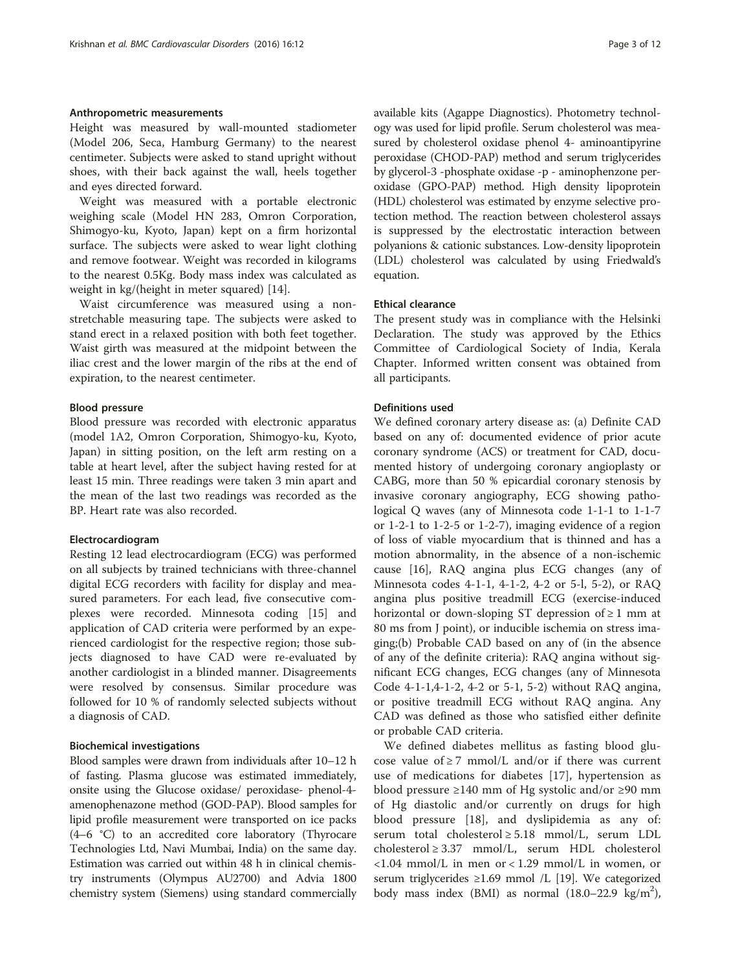#### Anthropometric measurements

Height was measured by wall-mounted stadiometer (Model 206, Seca, Hamburg Germany) to the nearest centimeter. Subjects were asked to stand upright without shoes, with their back against the wall, heels together and eyes directed forward.

Weight was measured with a portable electronic weighing scale (Model HN 283, Omron Corporation, Shimogyo-ku, Kyoto, Japan) kept on a firm horizontal surface. The subjects were asked to wear light clothing and remove footwear. Weight was recorded in kilograms to the nearest 0.5Kg. Body mass index was calculated as weight in kg/(height in meter squared) [\[14](#page-10-0)].

Waist circumference was measured using a nonstretchable measuring tape. The subjects were asked to stand erect in a relaxed position with both feet together. Waist girth was measured at the midpoint between the iliac crest and the lower margin of the ribs at the end of expiration, to the nearest centimeter.

#### Blood pressure

Blood pressure was recorded with electronic apparatus (model 1A2, Omron Corporation, Shimogyo-ku, Kyoto, Japan) in sitting position, on the left arm resting on a table at heart level, after the subject having rested for at least 15 min. Three readings were taken 3 min apart and the mean of the last two readings was recorded as the BP. Heart rate was also recorded.

#### Electrocardiogram

Resting 12 lead electrocardiogram (ECG) was performed on all subjects by trained technicians with three-channel digital ECG recorders with facility for display and measured parameters. For each lead, five consecutive complexes were recorded. Minnesota coding [\[15](#page-10-0)] and application of CAD criteria were performed by an experienced cardiologist for the respective region; those subjects diagnosed to have CAD were re-evaluated by another cardiologist in a blinded manner. Disagreements were resolved by consensus. Similar procedure was followed for 10 % of randomly selected subjects without a diagnosis of CAD.

#### Biochemical investigations

Blood samples were drawn from individuals after 10–12 h of fasting. Plasma glucose was estimated immediately, onsite using the Glucose oxidase/ peroxidase- phenol-4 amenophenazone method (GOD-PAP). Blood samples for lipid profile measurement were transported on ice packs (4–6 °C) to an accredited core laboratory (Thyrocare Technologies Ltd, Navi Mumbai, India) on the same day. Estimation was carried out within 48 h in clinical chemistry instruments (Olympus AU2700) and Advia 1800 chemistry system (Siemens) using standard commercially available kits (Agappe Diagnostics). Photometry technology was used for lipid profile. Serum cholesterol was measured by cholesterol oxidase phenol 4- aminoantipyrine peroxidase (CHOD-PAP) method and serum triglycerides by glycerol-3 -phosphate oxidase -p - aminophenzone peroxidase (GPO-PAP) method. High density lipoprotein (HDL) cholesterol was estimated by enzyme selective protection method. The reaction between cholesterol assays is suppressed by the electrostatic interaction between polyanions & cationic substances. Low-density lipoprotein (LDL) cholesterol was calculated by using Friedwald's equation.

#### Ethical clearance

The present study was in compliance with the Helsinki Declaration. The study was approved by the Ethics Committee of Cardiological Society of India, Kerala Chapter. Informed written consent was obtained from all participants.

#### Definitions used

We defined coronary artery disease as: (a) Definite CAD based on any of: documented evidence of prior acute coronary syndrome (ACS) or treatment for CAD, documented history of undergoing coronary angioplasty or CABG, more than 50 % epicardial coronary stenosis by invasive coronary angiography, ECG showing pathological Q waves (any of Minnesota code 1-1-1 to 1-1-7 or 1-2-1 to 1-2-5 or 1-2-7), imaging evidence of a region of loss of viable myocardium that is thinned and has a motion abnormality, in the absence of a non-ischemic cause [[16](#page-10-0)], RAQ angina plus ECG changes (any of Minnesota codes 4-1-1, 4-1-2, 4-2 or 5-l, 5-2), or RAQ angina plus positive treadmill ECG (exercise-induced horizontal or down-sloping ST depression of  $\geq 1$  mm at 80 ms from J point), or inducible ischemia on stress imaging;(b) Probable CAD based on any of (in the absence of any of the definite criteria): RAQ angina without significant ECG changes, ECG changes (any of Minnesota Code 4-1-1,4-1-2, 4-2 or 5-1, 5-2) without RAQ angina, or positive treadmill ECG without RAQ angina. Any CAD was defined as those who satisfied either definite or probable CAD criteria.

We defined diabetes mellitus as fasting blood glucose value of  $\geq 7$  mmol/L and/or if there was current use of medications for diabetes [[17\]](#page-10-0), hypertension as blood pressure ≥140 mm of Hg systolic and/or ≥90 mm of Hg diastolic and/or currently on drugs for high blood pressure [\[18](#page-10-0)], and dyslipidemia as any of: serum total cholesterol ≥ 5.18 mmol/L, serum LDL cholesterol ≥ 3.37 mmol/L, serum HDL cholesterol <1.04 mmol/L in men or < 1.29 mmol/L in women, or serum triglycerides  $\geq 1.69$  mmol /L [[19\]](#page-10-0). We categorized body mass index (BMI) as normal  $(18.0-22.9 \text{ kg/m}^2)$ ,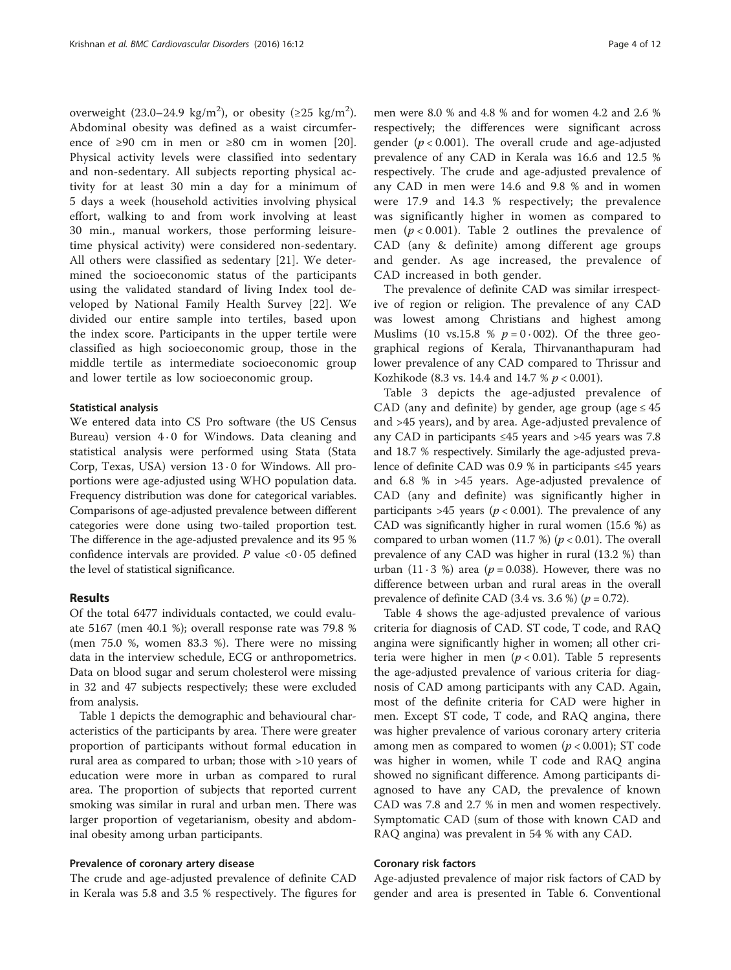overweight (23.0–24.9 kg/m<sup>2</sup>), or obesity (≥25 kg/m<sup>2</sup>). Abdominal obesity was defined as a waist circumference of  $\geq 90$  cm in men or  $\geq 80$  cm in women [\[20](#page-10-0)]. Physical activity levels were classified into sedentary and non-sedentary. All subjects reporting physical activity for at least 30 min a day for a minimum of 5 days a week (household activities involving physical effort, walking to and from work involving at least 30 min., manual workers, those performing leisuretime physical activity) were considered non-sedentary. All others were classified as sedentary [[21\]](#page-10-0). We determined the socioeconomic status of the participants using the validated standard of living Index tool developed by National Family Health Survey [[22](#page-10-0)]. We divided our entire sample into tertiles, based upon the index score. Participants in the upper tertile were classified as high socioeconomic group, those in the middle tertile as intermediate socioeconomic group and lower tertile as low socioeconomic group.

#### Statistical analysis

We entered data into CS Pro software (the US Census Bureau) version 4 · 0 for Windows. Data cleaning and statistical analysis were performed using Stata (Stata Corp, Texas, USA) version 13 · 0 for Windows. All proportions were age-adjusted using WHO population data. Frequency distribution was done for categorical variables. Comparisons of age-adjusted prevalence between different categories were done using two-tailed proportion test. The difference in the age-adjusted prevalence and its 95 % confidence intervals are provided. P value  $\langle 0.05 \rangle$  defined the level of statistical significance.

#### Results

Of the total 6477 individuals contacted, we could evaluate 5167 (men 40.1 %); overall response rate was 79.8 % (men 75.0 %, women 83.3 %). There were no missing data in the interview schedule, ECG or anthropometrics. Data on blood sugar and serum cholesterol were missing in 32 and 47 subjects respectively; these were excluded from analysis.

Table [1](#page-4-0) depicts the demographic and behavioural characteristics of the participants by area. There were greater proportion of participants without formal education in rural area as compared to urban; those with >10 years of education were more in urban as compared to rural area. The proportion of subjects that reported current smoking was similar in rural and urban men. There was larger proportion of vegetarianism, obesity and abdominal obesity among urban participants.

#### Prevalence of coronary artery disease

The crude and age-adjusted prevalence of definite CAD in Kerala was 5.8 and 3.5 % respectively. The figures for men were 8.0 % and 4.8 % and for women 4.2 and 2.6 % respectively; the differences were significant across gender ( $p < 0.001$ ). The overall crude and age-adjusted prevalence of any CAD in Kerala was 16.6 and 12.5 % respectively. The crude and age-adjusted prevalence of any CAD in men were 14.6 and 9.8 % and in women were 17.9 and 14.3 % respectively; the prevalence was significantly higher in women as compared to men ( $p < 0.001$ ). Table [2](#page-5-0) outlines the prevalence of CAD (any & definite) among different age groups and gender. As age increased, the prevalence of CAD increased in both gender.

The prevalence of definite CAD was similar irrespective of region or religion. The prevalence of any CAD was lowest among Christians and highest among Muslims (10 vs.15.8 %  $p = 0.002$ ). Of the three geographical regions of Kerala, Thirvananthapuram had lower prevalence of any CAD compared to Thrissur and Kozhikode (8.3 vs. 14.4 and 14.7 %  $p < 0.001$ ).

Table [3](#page-5-0) depicts the age-adjusted prevalence of CAD (any and definite) by gender, age group (age  $\leq 45$ and >45 years), and by area. Age-adjusted prevalence of any CAD in participants  $\leq 45$  years and  $>45$  years was 7.8 and 18.7 % respectively. Similarly the age-adjusted prevalence of definite CAD was 0.9 % in participants ≤45 years and 6.8 % in >45 years. Age-adjusted prevalence of CAD (any and definite) was significantly higher in participants >45 years ( $p < 0.001$ ). The prevalence of any CAD was significantly higher in rural women (15.6 %) as compared to urban women (11.7 %) ( $p < 0.01$ ). The overall prevalence of any CAD was higher in rural (13.2 %) than urban (11 · 3 %) area ( $p = 0.038$ ). However, there was no difference between urban and rural areas in the overall prevalence of definite CAD (3.4 vs. 3.6 %) ( $p = 0.72$ ).

Table [4](#page-6-0) shows the age-adjusted prevalence of various criteria for diagnosis of CAD. ST code, T code, and RAQ angina were significantly higher in women; all other criteria were higher in men ( $p < 0.01$ ). Table [5](#page-6-0) represents the age-adjusted prevalence of various criteria for diagnosis of CAD among participants with any CAD. Again, most of the definite criteria for CAD were higher in men. Except ST code, T code, and RAQ angina, there was higher prevalence of various coronary artery criteria among men as compared to women ( $p < 0.001$ ); ST code was higher in women, while T code and RAQ angina showed no significant difference. Among participants diagnosed to have any CAD, the prevalence of known CAD was 7.8 and 2.7 % in men and women respectively. Symptomatic CAD (sum of those with known CAD and RAQ angina) was prevalent in 54 % with any CAD.

#### Coronary risk factors

Age-adjusted prevalence of major risk factors of CAD by gender and area is presented in Table [6](#page-7-0). Conventional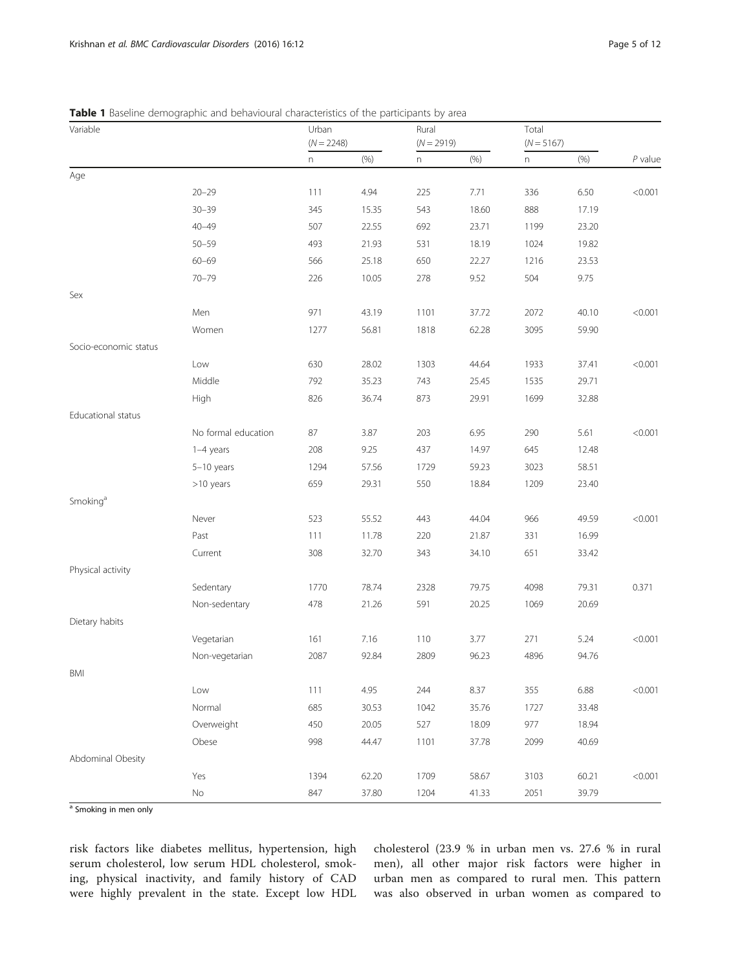| Variable              | <b>Table T</b> baseline derribytablic and behavioural characteristics of the participants by area | Urban<br>$(N = 2248)$ |       | Rural<br>$(N = 2919)$ |       | Total<br>$(N = 5167)$ |       |           |
|-----------------------|---------------------------------------------------------------------------------------------------|-----------------------|-------|-----------------------|-------|-----------------------|-------|-----------|
|                       |                                                                                                   | n                     | (% )  | n                     | (% )  | n                     | (% )  | $P$ value |
| Age                   |                                                                                                   |                       |       |                       |       |                       |       |           |
|                       | $20 - 29$                                                                                         | 111                   | 4.94  | 225                   | 7.71  | 336                   | 6.50  | < 0.001   |
|                       | $30 - 39$                                                                                         | 345                   | 15.35 | 543                   | 18.60 | 888                   | 17.19 |           |
|                       | $40 - 49$                                                                                         | 507                   | 22.55 | 692                   | 23.71 | 1199                  | 23.20 |           |
|                       | $50 - 59$                                                                                         | 493                   | 21.93 | 531                   | 18.19 | 1024                  | 19.82 |           |
|                       | $60 - 69$                                                                                         | 566                   | 25.18 | 650                   | 22.27 | 1216                  | 23.53 |           |
|                       | $70 - 79$                                                                                         | 226                   | 10.05 | 278                   | 9.52  | 504                   | 9.75  |           |
| Sex                   |                                                                                                   |                       |       |                       |       |                       |       |           |
|                       | Men                                                                                               | 971                   | 43.19 | 1101                  | 37.72 | 2072                  | 40.10 | < 0.001   |
|                       | Women                                                                                             | 1277                  | 56.81 | 1818                  | 62.28 | 3095                  | 59.90 |           |
| Socio-economic status |                                                                                                   |                       |       |                       |       |                       |       |           |
|                       | Low                                                                                               | 630                   | 28.02 | 1303                  | 44.64 | 1933                  | 37.41 | < 0.001   |
|                       | Middle                                                                                            | 792                   | 35.23 | 743                   | 25.45 | 1535                  | 29.71 |           |
|                       | High                                                                                              | 826                   | 36.74 | 873                   | 29.91 | 1699                  | 32.88 |           |
| Educational status    |                                                                                                   |                       |       |                       |       |                       |       |           |
|                       | No formal education                                                                               | 87                    | 3.87  | 203                   | 6.95  | 290                   | 5.61  | < 0.001   |
|                       | 1-4 years                                                                                         | 208                   | 9.25  | 437                   | 14.97 | 645                   | 12.48 |           |
|                       | $5-10$ years                                                                                      | 1294                  | 57.56 | 1729                  | 59.23 | 3023                  | 58.51 |           |
|                       | >10 years                                                                                         | 659                   | 29.31 | 550                   | 18.84 | 1209                  | 23.40 |           |
| Smoking <sup>a</sup>  |                                                                                                   |                       |       |                       |       |                       |       |           |
|                       | Never                                                                                             | 523                   | 55.52 | 443                   | 44.04 | 966                   | 49.59 | < 0.001   |
|                       | Past                                                                                              | 111                   | 11.78 | 220                   | 21.87 | 331                   | 16.99 |           |
|                       | Current                                                                                           | 308                   | 32.70 | 343                   | 34.10 | 651                   | 33.42 |           |
| Physical activity     |                                                                                                   |                       |       |                       |       |                       |       |           |
|                       | Sedentary                                                                                         | 1770                  | 78.74 | 2328                  | 79.75 | 4098                  | 79.31 | 0.371     |
|                       | Non-sedentary                                                                                     | 478                   | 21.26 | 591                   | 20.25 | 1069                  | 20.69 |           |
| Dietary habits        |                                                                                                   |                       |       |                       |       |                       |       |           |
|                       | Vegetarian                                                                                        | 161                   | 7.16  | 110                   | 3.77  | 271                   | 5.24  | < 0.001   |
|                       | Non-vegetarian                                                                                    | 2087                  | 92.84 | 2809                  | 96.23 | 4896                  | 94.76 |           |
| BMI                   |                                                                                                   |                       |       |                       |       |                       |       |           |
|                       | Low                                                                                               | 111                   | 4.95  | 244                   | 8.37  | 355                   | 6.88  | < 0.001   |
|                       | Normal                                                                                            | 685                   | 30.53 | 1042                  | 35.76 | 1727                  | 33.48 |           |
|                       | Overweight                                                                                        | 450                   | 20.05 | 527                   | 18.09 | 977                   | 18.94 |           |
|                       | Obese                                                                                             | 998                   | 44.47 | 1101                  | 37.78 | 2099                  | 40.69 |           |
| Abdominal Obesity     |                                                                                                   |                       |       |                       |       |                       |       |           |
|                       | Yes                                                                                               | 1394                  | 62.20 | 1709                  | 58.67 | 3103                  | 60.21 | < 0.001   |
|                       | $\rm No$                                                                                          | 847                   | 37.80 | 1204                  | 41.33 | 2051                  | 39.79 |           |

## <span id="page-4-0"></span>Table 1 Baseline demographic and behavioural characteristics of the participants by area

a Smoking in men only

risk factors like diabetes mellitus, hypertension, high serum cholesterol, low serum HDL cholesterol, smoking, physical inactivity, and family history of CAD were highly prevalent in the state. Except low HDL cholesterol (23.9 % in urban men vs. 27.6 % in rural men), all other major risk factors were higher in urban men as compared to rural men. This pattern was also observed in urban women as compared to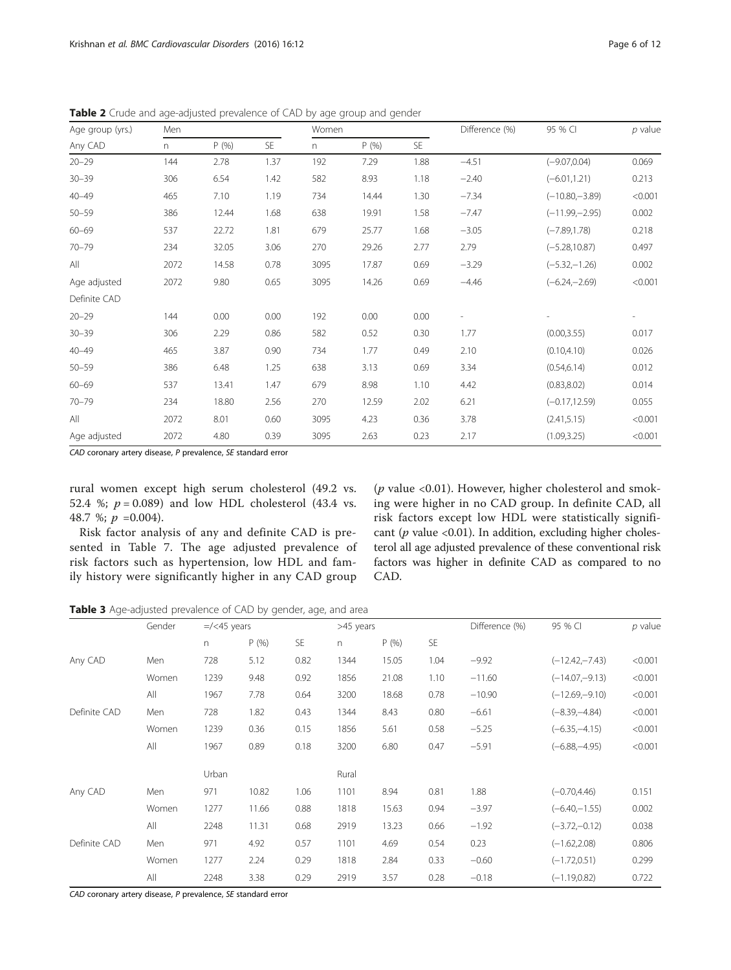| Age group (yrs.) | Men  |       |      | Women |       |           | Difference (%) | 95 % CI          | $p$ value |
|------------------|------|-------|------|-------|-------|-----------|----------------|------------------|-----------|
| Any CAD          | n.   | P(% ) | SE   | n     | P(% ) | <b>SE</b> |                |                  |           |
| $20 - 29$        | 144  | 2.78  | 1.37 | 192   | 7.29  | 1.88      | $-4.51$        | $(-9.07, 0.04)$  | 0.069     |
| $30 - 39$        | 306  | 6.54  | 1.42 | 582   | 8.93  | 1.18      | $-2.40$        | $(-6.01, 1.21)$  | 0.213     |
| $40 - 49$        | 465  | 7.10  | 1.19 | 734   | 14.44 | 1.30      | $-7.34$        | $(-10.80,-3.89)$ | < 0.001   |
| $50 - 59$        | 386  | 12.44 | 1.68 | 638   | 19.91 | 1.58      | $-7.47$        | $(-11.99,-2.95)$ | 0.002     |
| $60 - 69$        | 537  | 22.72 | 1.81 | 679   | 25.77 | 1.68      | $-3.05$        | $(-7.89, 1.78)$  | 0.218     |
| $70 - 79$        | 234  | 32.05 | 3.06 | 270   | 29.26 | 2.77      | 2.79           | $(-5.28, 10.87)$ | 0.497     |
| All              | 2072 | 14.58 | 0.78 | 3095  | 17.87 | 0.69      | $-3.29$        | $(-5.32,-1.26)$  | 0.002     |
| Age adjusted     | 2072 | 9.80  | 0.65 | 3095  | 14.26 | 0.69      | $-4.46$        | $(-6.24,-2.69)$  | < 0.001   |
| Definite CAD     |      |       |      |       |       |           |                |                  |           |
| $20 - 29$        | 144  | 0.00  | 0.00 | 192   | 0.00  | 0.00      |                |                  |           |
| $30 - 39$        | 306  | 2.29  | 0.86 | 582   | 0.52  | 0.30      | 1.77           | (0.00, 3.55)     | 0.017     |
| $40 - 49$        | 465  | 3.87  | 0.90 | 734   | 1.77  | 0.49      | 2.10           | (0.10, 4.10)     | 0.026     |
| $50 - 59$        | 386  | 6.48  | 1.25 | 638   | 3.13  | 0.69      | 3.34           | (0.54, 6.14)     | 0.012     |
| $60 - 69$        | 537  | 13.41 | 1.47 | 679   | 8.98  | 1.10      | 4.42           | (0.83, 8.02)     | 0.014     |
| $70 - 79$        | 234  | 18.80 | 2.56 | 270   | 12.59 | 2.02      | 6.21           | $(-0.17, 12.59)$ | 0.055     |
| All              | 2072 | 8.01  | 0.60 | 3095  | 4.23  | 0.36      | 3.78           | (2.41, 5.15)     | < 0.001   |
| Age adjusted     | 2072 | 4.80  | 0.39 | 3095  | 2.63  | 0.23      | 2.17           | (1.09, 3.25)     | < 0.001   |

<span id="page-5-0"></span>Table 2 Crude and age-adjusted prevalence of CAD by age group and gender

CAD coronary artery disease, P prevalence, SE standard error

rural women except high serum cholesterol (49.2 vs. 52.4 %;  $p = 0.089$ ) and low HDL cholesterol (43.4 vs. 48.7 %;  $p = 0.004$ ).

Risk factor analysis of any and definite CAD is presented in Table [7.](#page-8-0) The age adjusted prevalence of risk factors such as hypertension, low HDL and family history were significantly higher in any CAD group

( $p$  value <0.01). However, higher cholesterol and smoking were higher in no CAD group. In definite CAD, all risk factors except low HDL were statistically significant ( $p$  value <0.01). In addition, excluding higher cholesterol all age adjusted prevalence of these conventional risk factors was higher in definite CAD as compared to no CAD.

Table 3 Age-adjusted prevalence of CAD by gender, age, and area

|              | Gender | $=$ /<45 years |       |           | >45 years |       |           | Difference (%) | 95 % CI          | $p$ value |
|--------------|--------|----------------|-------|-----------|-----------|-------|-----------|----------------|------------------|-----------|
|              |        | n.             | P(% ) | <b>SE</b> | n         | P(% ) | <b>SE</b> |                |                  |           |
| Any CAD      | Men    | 728            | 5.12  | 0.82      | 1344      | 15.05 | 1.04      | $-9.92$        | $(-12.42,-7.43)$ | < 0.001   |
|              | Women  | 1239           | 9.48  | 0.92      | 1856      | 21.08 | 1.10      | $-11.60$       | $(-14.07,-9.13)$ | < 0.001   |
|              | All    | 1967           | 7.78  | 0.64      | 3200      | 18.68 | 0.78      | $-10.90$       | $(-12.69,-9.10)$ | < 0.001   |
| Definite CAD | Men    | 728            | 1.82  | 0.43      | 1344      | 8.43  | 0.80      | $-6.61$        | $(-8.39,-4.84)$  | < 0.001   |
|              | Women  | 1239           | 0.36  | 0.15      | 1856      | 5.61  | 0.58      | $-5.25$        | $(-6.35,-4.15)$  | < 0.001   |
|              | All    | 1967           | 0.89  | 0.18      | 3200      | 6.80  | 0.47      | $-5.91$        | $(-6.88,-4.95)$  | < 0.001   |
|              |        | Urban          |       |           | Rural     |       |           |                |                  |           |
| Any CAD      | Men    | 971            | 10.82 | 1.06      | 1101      | 8.94  | 0.81      | 1.88           | $(-0.70, 4.46)$  | 0.151     |
|              | Women  | 1277           | 11.66 | 0.88      | 1818      | 15.63 | 0.94      | $-3.97$        | $(-6.40,-1.55)$  | 0.002     |
|              | All    | 2248           | 11.31 | 0.68      | 2919      | 13.23 | 0.66      | $-1.92$        | $(-3.72,-0.12)$  | 0.038     |
| Definite CAD | Men    | 971            | 4.92  | 0.57      | 1101      | 4.69  | 0.54      | 0.23           | $(-1.62, 2.08)$  | 0.806     |
|              | Women  | 1277           | 2.24  | 0.29      | 1818      | 2.84  | 0.33      | $-0.60$        | $(-1.72, 0.51)$  | 0.299     |
|              | All    | 2248           | 3.38  | 0.29      | 2919      | 3.57  | 0.28      | $-0.18$        | $(-1.19, 0.82)$  | 0.722     |

CAD coronary artery disease, P prevalence, SE standard error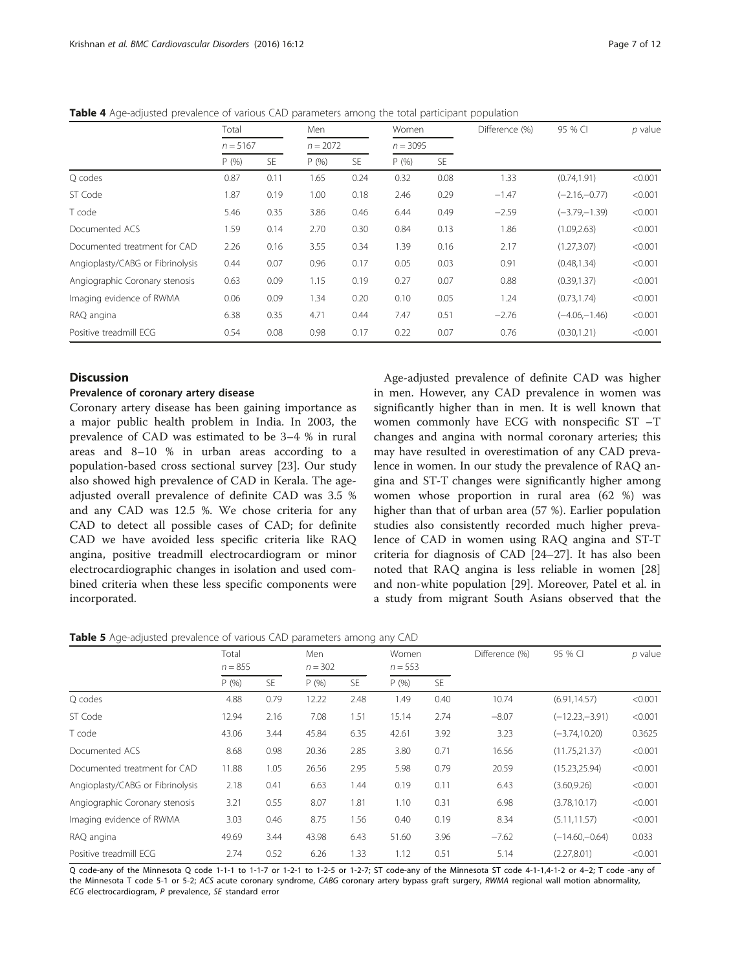|                                  | Total      |      | Men        |      | Women      |           | Difference (%) | 95 % CI          | $p$ value |  |
|----------------------------------|------------|------|------------|------|------------|-----------|----------------|------------------|-----------|--|
|                                  | $n = 5167$ |      | $n = 2072$ |      | $n = 3095$ |           |                |                  |           |  |
|                                  | P(% )      | SE.  | P(96)      | SE.  | P(96)      | <b>SE</b> |                |                  |           |  |
| Q codes                          | 0.87       | 0.11 | 1.65       | 0.24 | 0.32       | 0.08      | 1.33           | (0.74, 1.91)     | < 0.001   |  |
| ST Code                          | 1.87       | 0.19 | 1.00       | 0.18 | 2.46       | 0.29      | $-1.47$        | $(-2.16,-0.77)$  | < 0.001   |  |
| T code                           | 5.46       | 0.35 | 3.86       | 0.46 | 6.44       | 0.49      | $-2.59$        | $(-3.79 - 1.39)$ | < 0.001   |  |
| Documented ACS                   | 1.59       | 0.14 | 2.70       | 0.30 | 0.84       | 0.13      | 1.86           | (1.09, 2.63)     | < 0.001   |  |
| Documented treatment for CAD     | 2.26       | 0.16 | 3.55       | 0.34 | 1.39       | 0.16      | 2.17           | (1.27, 3.07)     | < 0.001   |  |
| Angioplasty/CABG or Fibrinolysis | 0.44       | 0.07 | 0.96       | 0.17 | 0.05       | 0.03      | 0.91           | (0.48, 1.34)     | < 0.001   |  |
| Angiographic Coronary stenosis   | 0.63       | 0.09 | 1.15       | 0.19 | 0.27       | 0.07      | 0.88           | (0.39, 1.37)     | < 0.001   |  |
| Imaging evidence of RWMA         | 0.06       | 0.09 | 1.34       | 0.20 | 0.10       | 0.05      | 1.24           | (0.73, 1.74)     | < 0.001   |  |
| RAQ angina                       | 6.38       | 0.35 | 4.71       | 0.44 | 7.47       | 0.51      | $-2.76$        | $(-4.06,-1.46)$  | < 0.001   |  |
| Positive treadmill ECG           | 0.54       | 0.08 | 0.98       | 0.17 | 0.22       | 0.07      | 0.76           | (0.30, 1.21)     | < 0.001   |  |

<span id="page-6-0"></span>Table 4 Age-adjusted prevalence of various CAD parameters among the total participant population

### **Discussion**

#### Prevalence of coronary artery disease

Coronary artery disease has been gaining importance as a major public health problem in India. In 2003, the prevalence of CAD was estimated to be 3–4 % in rural areas and 8–10 % in urban areas according to a population-based cross sectional survey [\[23\]](#page-10-0). Our study also showed high prevalence of CAD in Kerala. The ageadjusted overall prevalence of definite CAD was 3.5 % and any CAD was 12.5 %. We chose criteria for any CAD to detect all possible cases of CAD; for definite CAD we have avoided less specific criteria like RAQ angina, positive treadmill electrocardiogram or minor electrocardiographic changes in isolation and used combined criteria when these less specific components were incorporated.

Age-adjusted prevalence of definite CAD was higher in men. However, any CAD prevalence in women was significantly higher than in men. It is well known that women commonly have ECG with nonspecific ST –T changes and angina with normal coronary arteries; this may have resulted in overestimation of any CAD prevalence in women. In our study the prevalence of RAQ angina and ST-T changes were significantly higher among women whose proportion in rural area (62 %) was higher than that of urban area (57 %). Earlier population studies also consistently recorded much higher prevalence of CAD in women using RAQ angina and ST-T criteria for diagnosis of CAD [[24](#page-10-0)–[27](#page-10-0)]. It has also been noted that RAQ angina is less reliable in women [[28](#page-10-0)] and non-white population [[29](#page-10-0)]. Moreover, Patel et al. in a study from migrant South Asians observed that the

|  | Table 5 Age-adjusted prevalence of various CAD parameters among any CAD |  |  |
|--|-------------------------------------------------------------------------|--|--|
|--|-------------------------------------------------------------------------|--|--|

|                                  | Total<br>$n = 855$ |           | Men   | $n = 302$ |                    | Women     | Difference (%) | 95 % CI          | $p$ value |  |
|----------------------------------|--------------------|-----------|-------|-----------|--------------------|-----------|----------------|------------------|-----------|--|
|                                  | P(% )              | <b>SE</b> | P(% ) | SE.       | $n = 553$<br>P(96) | <b>SE</b> |                |                  |           |  |
| Q codes                          | 4.88               | 0.79      | 12.22 | 2.48      | 1.49               | 0.40      | 10.74          | (6.91, 14.57)    | < 0.001   |  |
| ST Code                          | 12.94              | 2.16      | 7.08  | 1.51      | 15.14              | 2.74      | $-8.07$        | $(-12.23,-3.91)$ | < 0.001   |  |
| T code                           | 43.06              | 3.44      | 45.84 | 6.35      | 42.61              | 3.92      | 3.23           | $(-3.74, 10.20)$ | 0.3625    |  |
| Documented ACS                   | 8.68               | 0.98      | 20.36 | 2.85      | 3.80               | 0.71      | 16.56          | (11.75, 21.37)   | < 0.001   |  |
| Documented treatment for CAD     | 11.88              | 1.05      | 26.56 | 2.95      | 5.98               | 0.79      | 20.59          | (15.23, 25.94)   | < 0.001   |  |
| Angioplasty/CABG or Fibrinolysis | 2.18               | 0.41      | 6.63  | 1.44      | 0.19               | 0.11      | 6.43           | (3.60, 9.26)     | < 0.001   |  |
| Angiographic Coronary stenosis   | 3.21               | 0.55      | 8.07  | 1.81      | 1.10               | 0.31      | 6.98           | (3.78, 10.17)    | < 0.001   |  |
| Imaging evidence of RWMA         | 3.03               | 0.46      | 8.75  | 1.56      | 0.40               | 0.19      | 8.34           | (5.11, 11.57)    | < 0.001   |  |
| RAQ angina                       | 49.69              | 3.44      | 43.98 | 6.43      | 51.60              | 3.96      | $-7.62$        | $(-14.60,-0.64)$ | 0.033     |  |
| Positive treadmill ECG           | 2.74               | 0.52      | 6.26  | 1.33      | 1.12               | 0.51      | 5.14           | (2.27, 8.01)     | < 0.001   |  |

Q code-any of the Minnesota Q code 1-1-1 to 1-1-7 or 1-2-1 to 1-2-5 or 1-2-7; ST code-any of the Minnesota ST code 4-1-1,4-1-2 or 4–2; T code -any of the Minnesota T code 5-1 or 5-2; ACS acute coronary syndrome, CABG coronary artery bypass graft surgery, RWMA regional wall motion abnormality, ECG electrocardiogram, P prevalence, SE standard error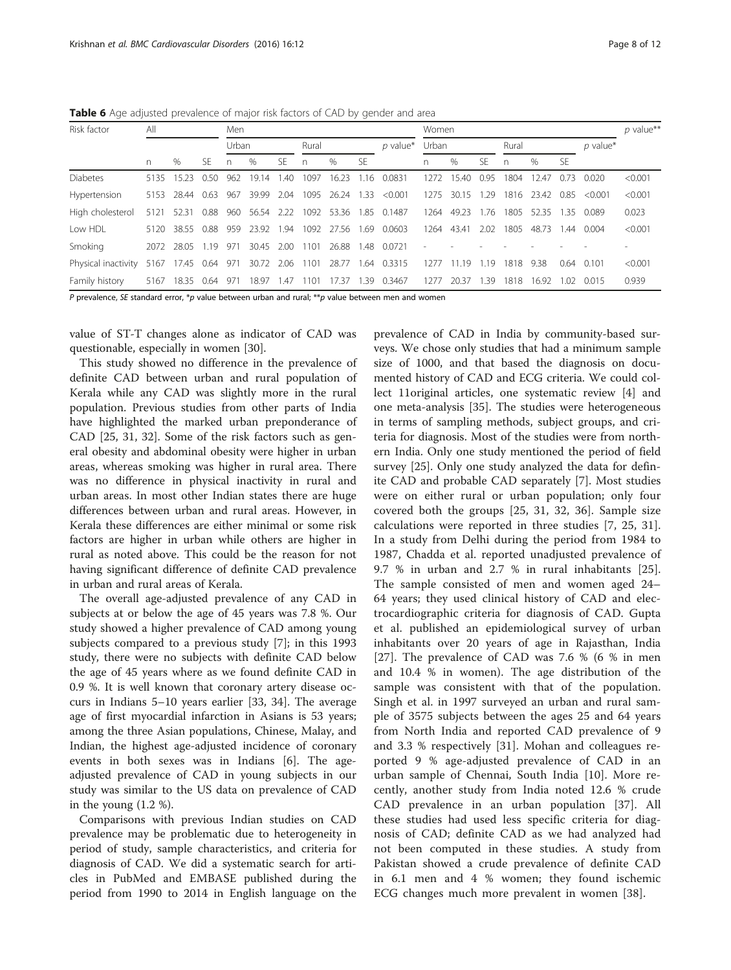<span id="page-7-0"></span>Table 6 Age adjusted prevalence of major risk factors of CAD by gender and area

| Risk factor         | All  |                 |      | Men  |            |      |       |            |           |                   | Women |       |      |              |                 |      |            | $p$ value** |
|---------------------|------|-----------------|------|------|------------|------|-------|------------|-----------|-------------------|-------|-------|------|--------------|-----------------|------|------------|-------------|
|                     |      |                 |      |      | Urban      |      | Rural |            |           | $p$ value*        | Urban |       |      | Rural        |                 |      | $p$ value* |             |
|                     | n.   | $\%$            | SF.  | n    | $\%$       | SF.  | n     | $\%$       | <b>SF</b> |                   | n     | $\%$  | SF   | $\mathsf{n}$ | $\%$            | -SF  |            |             |
| <b>Diabetes</b>     | 5135 | 15.23           | 0.50 | 962  | 19.14      | 1.40 | 1097  | 16.23      | 1.16      | 0.0831            | 1272  | 15.40 | 0.95 | 1804         | 12.47           | 0.73 | 0.020      | < 0.001     |
| Hypertension        | 5153 | 28.44           | 0.63 | 967  | 39.99      | 2.04 | 1095  | 26.24      | 1.33      | < 0.001           | 1275  | 30.15 | 1.29 |              | 1816 23.42 0.85 |      | < 0.001    | < 0.001     |
| High cholesterol    | 5121 | 52.31           | 0.88 | 960  | 56.54      | 2.22 | 1092  | 53.36      | 1.85      | 0.1487            | 1264  | 49.23 | 1.76 | 1805         | 52.35           | -35  | 0.089      | 0.023       |
| Low HDL             | 5120 | 38.55           | 0.88 | 959  | 23.92 1.94 |      |       | 1092 27.56 | 1.69      | 0.0603            | 1264  | 43.41 | 2.02 | 1805         | 48.73           | 1.44 | 0.004      | < 0.001     |
| Smoking             |      | 2072 28.05      | 1.19 | 971  | 30.45      | 2.00 | 1101  | 26.88      | 1.48      | 0.0721            |       |       |      |              |                 |      |            |             |
| Physical inactivity |      | 5167 17.45 0.64 |      | 971  | 30.72      | 2.06 | 1101  |            |           | 28.77 1.64 0.3315 | 1277  | 1.19  | 1.19 | 1818         | 9.38            | 0.64 | 0.101      | < 0.001     |
| Family history      | 5167 | 18.35           | 0.64 | -971 | 18.97      | 1.47 | 1101  | 17.37      | 1.39      | 0.3467            | 1277  | 20.37 | 1.39 | 1818         | 16.92           | 1.02 | 0.015      | 0.939       |

P prevalence, SE standard error, \*p value between urban and rural; \*\*p value between men and women

value of ST-T changes alone as indicator of CAD was questionable, especially in women [[30\]](#page-10-0).

This study showed no difference in the prevalence of definite CAD between urban and rural population of Kerala while any CAD was slightly more in the rural population. Previous studies from other parts of India have highlighted the marked urban preponderance of CAD [\[25](#page-10-0), [31, 32](#page-10-0)]. Some of the risk factors such as general obesity and abdominal obesity were higher in urban areas, whereas smoking was higher in rural area. There was no difference in physical inactivity in rural and urban areas. In most other Indian states there are huge differences between urban and rural areas. However, in Kerala these differences are either minimal or some risk factors are higher in urban while others are higher in rural as noted above. This could be the reason for not having significant difference of definite CAD prevalence in urban and rural areas of Kerala.

The overall age-adjusted prevalence of any CAD in subjects at or below the age of 45 years was 7.8 %. Our study showed a higher prevalence of CAD among young subjects compared to a previous study [\[7\]](#page-10-0); in this 1993 study, there were no subjects with definite CAD below the age of 45 years where as we found definite CAD in 0.9 %. It is well known that coronary artery disease occurs in Indians 5–10 years earlier [\[33](#page-10-0), [34\]](#page-10-0). The average age of first myocardial infarction in Asians is 53 years; among the three Asian populations, Chinese, Malay, and Indian, the highest age-adjusted incidence of coronary events in both sexes was in Indians [[6\]](#page-10-0). The ageadjusted prevalence of CAD in young subjects in our study was similar to the US data on prevalence of CAD in the young (1.2 %).

Comparisons with previous Indian studies on CAD prevalence may be problematic due to heterogeneity in period of study, sample characteristics, and criteria for diagnosis of CAD. We did a systematic search for articles in PubMed and EMBASE published during the period from 1990 to 2014 in English language on the prevalence of CAD in India by community-based surveys. We chose only studies that had a minimum sample size of 1000, and that based the diagnosis on documented history of CAD and ECG criteria. We could collect 11original articles, one systematic review [\[4](#page-10-0)] and one meta-analysis [\[35](#page-10-0)]. The studies were heterogeneous in terms of sampling methods, subject groups, and criteria for diagnosis. Most of the studies were from northern India. Only one study mentioned the period of field survey [[25\]](#page-10-0). Only one study analyzed the data for definite CAD and probable CAD separately [[7\]](#page-10-0). Most studies were on either rural or urban population; only four covered both the groups [[25, 31](#page-10-0), [32, 36\]](#page-10-0). Sample size calculations were reported in three studies [\[7](#page-10-0), [25, 31](#page-10-0)]. In a study from Delhi during the period from 1984 to 1987, Chadda et al. reported unadjusted prevalence of 9.7 % in urban and 2.7 % in rural inhabitants [\[25](#page-10-0)]. The sample consisted of men and women aged 24– 64 years; they used clinical history of CAD and electrocardiographic criteria for diagnosis of CAD. Gupta et al. published an epidemiological survey of urban inhabitants over 20 years of age in Rajasthan, India [[27\]](#page-10-0). The prevalence of CAD was 7.6 % (6 % in men and 10.4 % in women). The age distribution of the sample was consistent with that of the population. Singh et al. in 1997 surveyed an urban and rural sample of 3575 subjects between the ages 25 and 64 years from North India and reported CAD prevalence of 9 and 3.3 % respectively [\[31](#page-10-0)]. Mohan and colleagues reported 9 % age-adjusted prevalence of CAD in an urban sample of Chennai, South India [[10](#page-10-0)]. More recently, another study from India noted 12.6 % crude CAD prevalence in an urban population [[37\]](#page-10-0). All these studies had used less specific criteria for diagnosis of CAD; definite CAD as we had analyzed had not been computed in these studies. A study from Pakistan showed a crude prevalence of definite CAD in 6.1 men and 4 % women; they found ischemic ECG changes much more prevalent in women [[38\]](#page-10-0).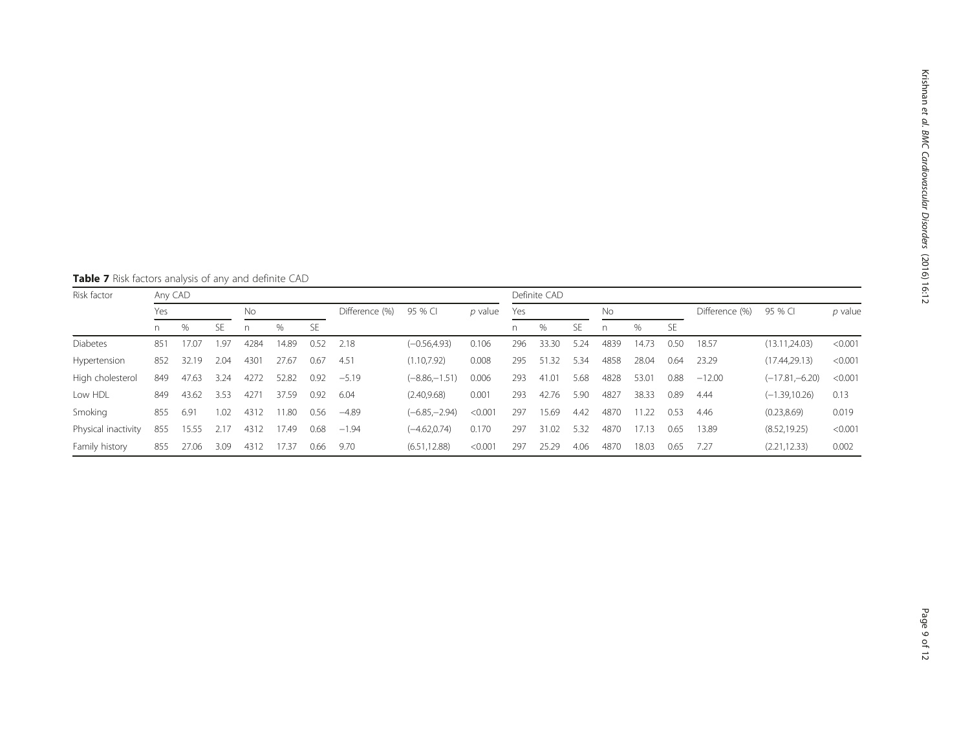<span id="page-8-0"></span>Table 7 Risk factors analysis of any and definite CAD

| Risk factor         |     | Any CAD |      |           |       |                |         |                  |         |     |       | Definite CAD |      |       |                |          |                  |         |  |  |  |
|---------------------|-----|---------|------|-----------|-------|----------------|---------|------------------|---------|-----|-------|--------------|------|-------|----------------|----------|------------------|---------|--|--|--|
|                     | Yes |         |      | <b>No</b> |       | Difference (%) | 95 % CI | p value          | Yes     |     |       | No           |      |       | Difference (%) | 95 % CI  | p value          |         |  |  |  |
|                     | n.  | %       | SE.  | n         | %     | SE             |         |                  |         | n.  | $\%$  | <b>SE</b>    | n    | %     | <b>SE</b>      |          |                  |         |  |  |  |
| <b>Diabetes</b>     | 85  | 17.07   | 1.97 | 4284      | 14.89 | 0.52           | 2.18    | $(-0.56.4.93)$   | 0.106   | 296 | 33.30 | 5.24         | 4839 | 14.73 | 0.50           | 18.57    | (13.11, 24.03)   | < 0.001 |  |  |  |
| Hypertension        | 852 | 32.19   | 2.04 | 4301      | 27.67 | 0.67           | 4.51    | (1.10.7.92)      | 0.008   | 295 | 51.32 | 5.34         | 4858 | 28.04 | 0.64           | 23.29    | (17.44, 29.13)   | < 0.001 |  |  |  |
| High cholesterol    | 849 | 47.63   | 3.24 | 4272      | 52.82 | 0.92           | $-5.19$ | $(-8.86,-1.51)$  | 0.006   | 293 | 41.01 | 5.68         | 4828 | 53.01 | 0.88           | $-12.00$ | $(-17.81,-6.20)$ | < 0.001 |  |  |  |
| Low HDL             | 849 | 43.62   | 3.53 | 4271      | 37.59 | 0.92           | 6.04    | (2.40, 9.68)     | 0.001   | 293 | 42.76 | 5.90         | 4827 | 38.33 | 0.89           | 4.44     | $(-1.39, 10.26)$ | 0.13    |  |  |  |
| Smoking             | 855 | 6.91    | 1.02 | 4312      | 11.80 | 0.56           | $-4.89$ | $(-6.85 - 2.94)$ | < 0.001 | 297 | 15.69 | 4.42         | 4870 | 11.22 | 0.53           | 4.46     | (0.23, 8.69)     | 0.019   |  |  |  |
| Physical inactivity | 855 | 15.55   | 2.17 | 4312      | 17.49 | 0.68           | $-1.94$ | $(-4.62.0.74)$   | 0.170   | 297 | 31.02 | 5.32         | 4870 | 17.13 | 0.65           | 13.89    | (8.52, 19.25)    | < 0.001 |  |  |  |
| Family history      | 855 | 27.06   | 3.09 | 4312      | 17.37 | 0.66           | 9.70    | (6.51, 12.88)    | < 0.001 | 297 | 25.29 | 4.06         | 4870 | 18.03 | 0.65           | 7.27     | (2.21, 12.33)    | 0.002   |  |  |  |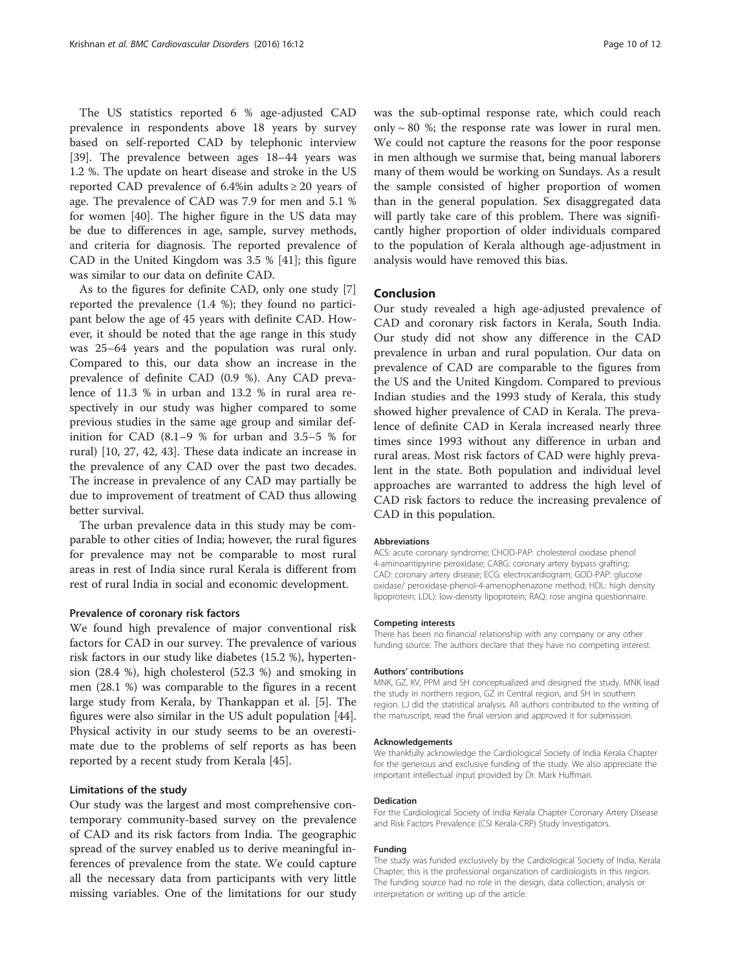The US statistics reported 6 % age-adjusted CAD prevalence in respondents above 18 years by survey based on self-reported CAD by telephonic interview [[39\]](#page-10-0). The prevalence between ages 18–44 years was 1.2 %. The update on heart disease and stroke in the US reported CAD prevalence of 6.4%in adults  $\geq 20$  years of age. The prevalence of CAD was 7.9 for men and 5.1 % for women [[40\]](#page-10-0). The higher figure in the US data may be due to differences in age, sample, survey methods, and criteria for diagnosis. The reported prevalence of CAD in the United Kingdom was 3.5 % [[41\]](#page-10-0); this figure was similar to our data on definite CAD.

As to the figures for definite CAD, only one study [\[7](#page-10-0)] reported the prevalence (1.4 %); they found no participant below the age of 45 years with definite CAD. However, it should be noted that the age range in this study was 25–64 years and the population was rural only. Compared to this, our data show an increase in the prevalence of definite CAD (0.9 %). Any CAD prevalence of 11.3 % in urban and 13.2 % in rural area respectively in our study was higher compared to some previous studies in the same age group and similar definition for CAD (8.1–9 % for urban and 3.5–5 % for rural) [[10, 27, 42](#page-10-0), [43](#page-10-0)]. These data indicate an increase in the prevalence of any CAD over the past two decades. The increase in prevalence of any CAD may partially be due to improvement of treatment of CAD thus allowing better survival.

The urban prevalence data in this study may be comparable to other cities of India; however, the rural figures for prevalence may not be comparable to most rural areas in rest of India since rural Kerala is different from rest of rural India in social and economic development.

#### Prevalence of coronary risk factors

We found high prevalence of major conventional risk factors for CAD in our survey. The prevalence of various risk factors in our study like diabetes (15.2 %), hypertension (28.4 %), high cholesterol (52.3 %) and smoking in men (28.1 %) was comparable to the figures in a recent large study from Kerala, by Thankappan et al. [\[5\]](#page-10-0). The figures were also similar in the US adult population [\[44](#page-11-0)]. Physical activity in our study seems to be an overestimate due to the problems of self reports as has been reported by a recent study from Kerala [[45](#page-11-0)].

#### Limitations of the study

Our study was the largest and most comprehensive contemporary community-based survey on the prevalence of CAD and its risk factors from India. The geographic spread of the survey enabled us to derive meaningful inferences of prevalence from the state. We could capture all the necessary data from participants with very little missing variables. One of the limitations for our study

was the sub-optimal response rate, which could reach only  $\sim$  80 %; the response rate was lower in rural men. We could not capture the reasons for the poor response in men although we surmise that, being manual laborers many of them would be working on Sundays. As a result the sample consisted of higher proportion of women than in the general population. Sex disaggregated data will partly take care of this problem. There was significantly higher proportion of older individuals compared to the population of Kerala although age-adjustment in analysis would have removed this bias.

#### Conclusion

Our study revealed a high age-adjusted prevalence of CAD and coronary risk factors in Kerala, South India. Our study did not show any difference in the CAD prevalence in urban and rural population. Our data on prevalence of CAD are comparable to the figures from the US and the United Kingdom. Compared to previous Indian studies and the 1993 study of Kerala, this study showed higher prevalence of CAD in Kerala. The prevalence of definite CAD in Kerala increased nearly three times since 1993 without any difference in urban and rural areas. Most risk factors of CAD were highly prevalent in the state. Both population and individual level approaches are warranted to address the high level of CAD risk factors to reduce the increasing prevalence of CAD in this population.

#### Abbreviations

ACS: acute coronary syndrome; CHOD-PAP: cholesterol oxidase phenol 4-aminoantipyrine peroxidase; CABG: coronary artery bypass grafting; CAD: coronary artery disease; ECG: electrocardiogram; GOD-PAP: glucose oxidase/ peroxidase-phenol-4-amenophenazone method; HDL: high density lipoprotein; LDL): low-density lipoprotein; RAQ: rose angina questionnaire.

#### Competing interests

There has been no financial relationship with any company or any other funding source. The authors declare that they have no competing interest.

#### Authors' contributions

MNK, GZ, KV, PPM and SH conceptualized and designed the study. MNK lead the study in northern region, GZ in Central region, and SH in southern region. LJ did the statistical analysis. All authors contributed to the writing of the manuscript, read the final version and approved it for submission.

#### Acknowledgements

We thankfully acknowledge the Cardiological Society of India Kerala Chapter for the generous and exclusive funding of the study. We also appreciate the important intellectual input provided by Dr. Mark Huffman.

#### Dedication

For the Cardiological Society of India Kerala Chapter Coronary Artery Disease and Risk Factors Prevalence (CSI Kerala-CRP) Study Investigators.

#### Funding

The study was funded exclusively by the Cardiological Society of India, Kerala Chapter; this is the professional organization of cardiologists in this region. The funding source had no role in the design, data collection, analysis or interpretation or writing up of the article.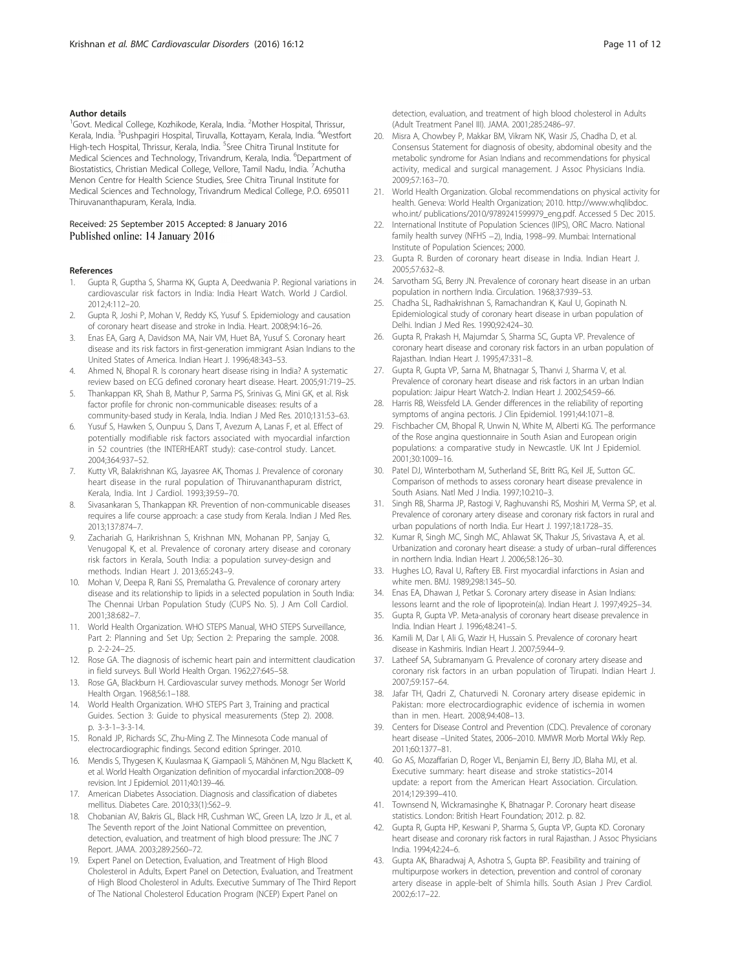#### <span id="page-10-0"></span>Author details

<sup>1</sup>Govt. Medical College, Kozhikode, Kerala, India. <sup>2</sup>Mother Hospital, Thrissur, Kerala, India. <sup>3</sup>Pushpagiri Hospital, Tiruvalla, Kottayam, Kerala, India. <sup>4</sup>Westfort High-tech Hospital, Thrissur, Kerala, India. <sup>5</sup>Sree Chitra Tirunal Institute for Medical Sciences and Technology, Trivandrum, Kerala, India. <sup>6</sup>Department of Biostatistics, Christian Medical College, Vellore, Tamil Nadu, India. <sup>7</sup>Achutha Menon Centre for Health Science Studies, Sree Chitra Tirunal Institute for Medical Sciences and Technology, Trivandrum Medical College, P.O. 695011 Thiruvananthapuram, Kerala, India.

#### Received: 25 September 2015 Accepted: 8 January 2016 Published online: 14 January 2016

#### References

- 1. Gupta R, Guptha S, Sharma KK, Gupta A, Deedwania P. Regional variations in cardiovascular risk factors in India: India Heart Watch. World J Cardiol. 2012;4:112–20.
- 2. Gupta R, Joshi P, Mohan V, Reddy KS, Yusuf S. Epidemiology and causation of coronary heart disease and stroke in India. Heart. 2008;94:16–26.
- 3. Enas EA, Garg A, Davidson MA, Nair VM, Huet BA, Yusuf S. Coronary heart disease and its risk factors in first-generation immigrant Asian Indians to the United States of America. Indian Heart J. 1996;48:343–53.
- Ahmed N, Bhopal R. Is coronary heart disease rising in India? A systematic review based on ECG defined coronary heart disease. Heart. 2005;91:719–25.
- 5. Thankappan KR, Shah B, Mathur P, Sarma PS, Srinivas G, Mini GK, et al. Risk factor profile for chronic non-communicable diseases: results of a community-based study in Kerala, India. Indian J Med Res. 2010;131:53–63.
- 6. Yusuf S, Hawken S, Ounpuu S, Dans T, Avezum A, Lanas F, et al. Effect of potentially modifiable risk factors associated with myocardial infarction in 52 countries (the INTERHEART study): case-control study. Lancet. 2004;364:937–52.
- 7. Kutty VR, Balakrishnan KG, Jayasree AK, Thomas J. Prevalence of coronary heart disease in the rural population of Thiruvananthapuram district, Kerala, India. Int J Cardiol. 1993;39:59–70.
- Sivasankaran S, Thankappan KR. Prevention of non-communicable diseases requires a life course approach: a case study from Kerala. Indian J Med Res. 2013;137:874–7.
- 9. Zachariah G, Harikrishnan S, Krishnan MN, Mohanan PP, Sanjay G, Venugopal K, et al. Prevalence of coronary artery disease and coronary risk factors in Kerala, South India: a population survey-design and methods. Indian Heart J. 2013;65:243–9.
- 10. Mohan V, Deepa R, Rani SS, Premalatha G. Prevalence of coronary artery disease and its relationship to lipids in a selected population in South India: The Chennai Urban Population Study (CUPS No. 5). J Am Coll Cardiol. 2001;38:682–7.
- 11. World Health Organization. WHO STEPS Manual, WHO STEPS Surveillance, Part 2: Planning and Set Up; Section 2: Preparing the sample. 2008. p. 2-2-24–25.
- 12. Rose GA. The diagnosis of ischemic heart pain and intermittent claudication in field surveys. Bull World Health Organ. 1962;27:645–58.
- 13. Rose GA, Blackburn H. Cardiovascular survey methods. Monogr Ser World Health Organ. 1968;56:1–188.
- 14. World Health Organization. WHO STEPS Part 3, Training and practical Guides. Section 3: Guide to physical measurements (Step 2). 2008. p. 3-3-1–3-3-14.
- 15. Ronald JP, Richards SC, Zhu-Ming Z. The Minnesota Code manual of electrocardiographic findings. Second edition Springer. 2010.
- 16. Mendis S, Thygesen K, Kuulasmaa K, Giampaoli S, Mähönen M, Ngu Blackett K, et al. World Health Organization definition of myocardial infarction:2008–09 revision. Int J Epidemiol. 2011;40:139–46.
- 17. American Diabetes Association. Diagnosis and classification of diabetes mellitus. Diabetes Care. 2010;33(1):S62–9.
- 18. Chobanian AV, Bakris GL, Black HR, Cushman WC, Green LA, Izzo Jr JL, et al. The Seventh report of the Joint National Committee on prevention, detection, evaluation, and treatment of high blood pressure: The JNC 7 Report. JAMA. 2003;289:2560–72.
- 19. Expert Panel on Detection, Evaluation, and Treatment of High Blood Cholesterol in Adults, Expert Panel on Detection, Evaluation, and Treatment of High Blood Cholesterol in Adults. Executive Summary of The Third Report of The National Cholesterol Education Program (NCEP) Expert Panel on

detection, evaluation, and treatment of high blood cholesterol in Adults (Adult Treatment Panel III). JAMA. 2001;285:2486–97.

- 20. Misra A, Chowbey P, Makkar BM, Vikram NK, Wasir JS, Chadha D, et al. Consensus Statement for diagnosis of obesity, abdominal obesity and the metabolic syndrome for Asian Indians and recommendations for physical activity, medical and surgical management. J Assoc Physicians India. 2009;57:163–70.
- 21. World Health Organization. Global recommendations on physical activity for health. Geneva: World Health Organization; 2010. [http://www.whqlibdoc.](http://www.whqlibdoc.who.int/%20publications/2010/9789241599979_eng.pdf) [who.int/ publications/2010/9789241599979\\_eng.pdf](http://www.whqlibdoc.who.int/%20publications/2010/9789241599979_eng.pdf). Accessed 5 Dec 2015.
- 22. International Institute of Population Sciences (IIPS), ORC Macro. National family health survey (NFHS −2), India, 1998–99. Mumbai: International Institute of Population Sciences; 2000.
- 23. Gupta R. Burden of coronary heart disease in India. Indian Heart J. 2005;57:632–8.
- 24. Sarvotham SG, Berry JN. Prevalence of coronary heart disease in an urban population in northern India. Circulation. 1968;37:939–53.
- 25. Chadha SL, Radhakrishnan S, Ramachandran K, Kaul U, Gopinath N. Epidemiological study of coronary heart disease in urban population of Delhi. Indian J Med Res. 1990;92:424–30.
- 26. Gupta R, Prakash H, Majumdar S, Sharma SC, Gupta VP. Prevalence of coronary heart disease and coronary risk factors in an urban population of Rajasthan. Indian Heart J. 1995;47:331–8.
- 27. Gupta R, Gupta VP, Sarna M, Bhatnagar S, Thanvi J, Sharma V, et al. Prevalence of coronary heart disease and risk factors in an urban Indian population: Jaipur Heart Watch-2. Indian Heart J. 2002;54:59–66.
- 28. Harris RB, Weissfeld LA. Gender differences in the reliability of reporting symptoms of angina pectoris. J Clin Epidemiol. 1991;44:1071–8.
- 29. Fischbacher CM, Bhopal R, Unwin N, White M, Alberti KG. The performance of the Rose angina questionnaire in South Asian and European origin populations: a comparative study in Newcastle. UK Int J Epidemiol. 2001;30:1009–16.
- 30. Patel DJ, Winterbotham M, Sutherland SE, Britt RG, Keil JE, Sutton GC. Comparison of methods to assess coronary heart disease prevalence in South Asians. Natl Med J India. 1997;10:210–3.
- Singh RB, Sharma JP, Rastogi V, Raghuvanshi RS, Moshiri M, Verma SP, et al. Prevalence of coronary artery disease and coronary risk factors in rural and urban populations of north India. Eur Heart J. 1997;18:1728–35.
- 32. Kumar R, Singh MC, Singh MC, Ahlawat SK, Thakur JS, Srivastava A, et al. Urbanization and coronary heart disease: a study of urban–rural differences in northern India. Indian Heart J. 2006;58:126–30.
- 33. Hughes LO, Raval U, Raftery EB. First myocardial infarctions in Asian and white men. BMJ. 1989;298:1345–50.
- 34. Enas EA, Dhawan J, Petkar S. Coronary artery disease in Asian Indians: lessons learnt and the role of lipoprotein(a). Indian Heart J. 1997;49:25–34.
- 35. Gupta R, Gupta VP. Meta-analysis of coronary heart disease prevalence in India. Indian Heart J. 1996;48:241–5.
- 36. Kamili M, Dar I, Ali G, Wazir H, Hussain S. Prevalence of coronary heart disease in Kashmiris. Indian Heart J. 2007;59:44–9.
- 37. Latheef SA, Subramanyam G. Prevalence of coronary artery disease and coronary risk factors in an urban population of Tirupati. Indian Heart J. 2007;59:157–64.
- 38. Jafar TH, Qadri Z, Chaturvedi N. Coronary artery disease epidemic in Pakistan: more electrocardiographic evidence of ischemia in women than in men. Heart. 2008;94:408–13.
- 39. Centers for Disease Control and Prevention (CDC). Prevalence of coronary heart disease –United States, 2006–2010. MMWR Morb Mortal Wkly Rep. 2011;60:1377–81.
- 40. Go AS, Mozaffarian D, Roger VL, Benjamin EJ, Berry JD, Blaha MJ, et al. Executive summary: heart disease and stroke statistics–2014 update: a report from the American Heart Association. Circulation. 2014;129:399–410.
- 41. Townsend N, Wickramasinghe K, Bhatnagar P. Coronary heart disease statistics. London: British Heart Foundation; 2012. p. 82.
- 42. Gupta R, Gupta HP, Keswani P, Sharma S, Gupta VP, Gupta KD. Coronary heart disease and coronary risk factors in rural Rajasthan. J Assoc Physicians India. 1994;42:24–6.
- 43. Gupta AK, Bharadwaj A, Ashotra S, Gupta BP. Feasibility and training of multipurpose workers in detection, prevention and control of coronary artery disease in apple-belt of Shimla hills. South Asian J Prev Cardiol. 2002;6:17–22.